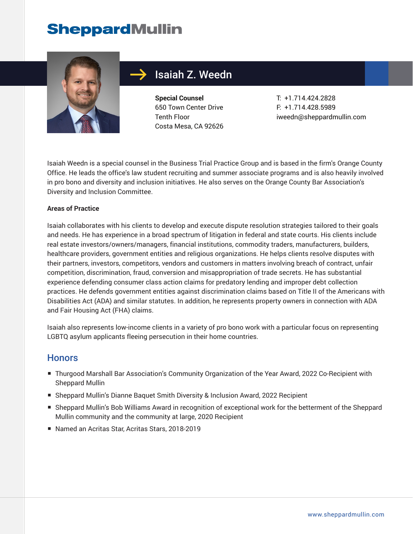# **SheppardMullin**



## Isaiah Z. Weedn

**Special Counsel** 650 Town Center Drive Tenth Floor Costa Mesa, CA 92626

T: +1.714.424.2828 F: +1.714.428.5989 iweedn@sheppardmullin.com

Isaiah Weedn is a special counsel in the Business Trial Practice Group and is based in the firm's Orange County Office. He leads the office's law student recruiting and summer associate programs and is also heavily involved in pro bono and diversity and inclusion initiatives. He also serves on the Orange County Bar Association's Diversity and Inclusion Committee.

#### **Areas of Practice**

Isaiah collaborates with his clients to develop and execute dispute resolution strategies tailored to their goals and needs. He has experience in a broad spectrum of litigation in federal and state courts. His clients include real estate investors/owners/managers, financial institutions, commodity traders, manufacturers, builders, healthcare providers, government entities and religious organizations. He helps clients resolve disputes with their partners, investors, competitors, vendors and customers in matters involving breach of contract, unfair competition, discrimination, fraud, conversion and misappropriation of trade secrets. He has substantial experience defending consumer class action claims for predatory lending and improper debt collection practices. He defends government entities against discrimination claims based on Title II of the Americans with Disabilities Act (ADA) and similar statutes. In addition, he represents property owners in connection with ADA and Fair Housing Act (FHA) claims.

Isaiah also represents low-income clients in a variety of pro bono work with a particular focus on representing LGBTQ asylum applicants fleeing persecution in their home countries.

#### **Honors**

- Thurgood Marshall Bar Association's Community Organization of the Year Award, 2022 Co-Recipient with Sheppard Mullin
- Sheppard Mullin's Dianne Baquet Smith Diversity & Inclusion Award, 2022 Recipient
- Sheppard Mullin's Bob Williams Award in recognition of exceptional work for the betterment of the Sheppard Mullin community and the community at large, 2020 Recipient
- Named an Acritas Star, Acritas Stars, 2018-2019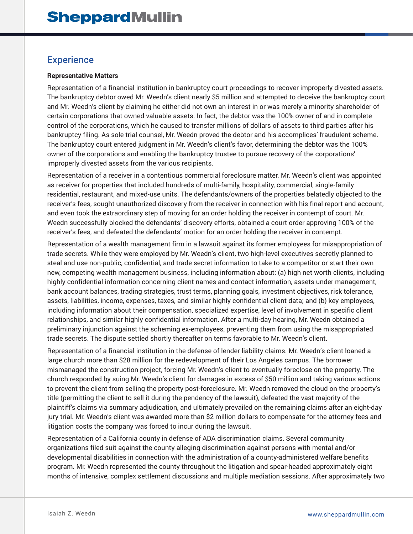## **Experience**

#### **Representative Matters**

Representation of a financial institution in bankruptcy court proceedings to recover improperly divested assets. The bankruptcy debtor owed Mr. Weedn's client nearly \$5 million and attempted to deceive the bankruptcy court and Mr. Weedn's client by claiming he either did not own an interest in or was merely a minority shareholder of certain corporations that owned valuable assets. In fact, the debtor was the 100% owner of and in complete control of the corporations, which he caused to transfer millions of dollars of assets to third parties after his bankruptcy filing. As sole trial counsel, Mr. Weedn proved the debtor and his accomplices' fraudulent scheme. The bankruptcy court entered judgment in Mr. Weedn's client's favor, determining the debtor was the 100% owner of the corporations and enabling the bankruptcy trustee to pursue recovery of the corporations' improperly divested assets from the various recipients.

Representation of a receiver in a contentious commercial foreclosure matter. Mr. Weedn's client was appointed as receiver for properties that included hundreds of multi-family, hospitality, commercial, single-family residential, restaurant, and mixed-use units. The defendants/owners of the properties belatedly objected to the receiver's fees, sought unauthorized discovery from the receiver in connection with his final report and account, and even took the extraordinary step of moving for an order holding the receiver in contempt of court. Mr. Weedn successfully blocked the defendants' discovery efforts, obtained a court order approving 100% of the receiver's fees, and defeated the defendants' motion for an order holding the receiver in contempt.

Representation of a wealth management firm in a lawsuit against its former employees for misappropriation of trade secrets. While they were employed by Mr. Weedn's client, two high-level executives secretly planned to steal and use non-public, confidential, and trade secret information to take to a competitor or start their own new, competing wealth management business, including information about: (a) high net worth clients, including highly confidential information concerning client names and contact information, assets under management, bank account balances, trading strategies, trust terms, planning goals, investment objectives, risk tolerance, assets, liabilities, income, expenses, taxes, and similar highly confidential client data; and (b) key employees, including information about their compensation, specialized expertise, level of involvement in specific client relationships, and similar highly confidential information. After a multi-day hearing, Mr. Weedn obtained a preliminary injunction against the scheming ex-employees, preventing them from using the misappropriated trade secrets. The dispute settled shortly thereafter on terms favorable to Mr. Weedn's client.

Representation of a financial institution in the defense of lender liability claims. Mr. Weedn's client loaned a large church more than \$28 million for the redevelopment of their Los Angeles campus. The borrower mismanaged the construction project, forcing Mr. Weedn's client to eventually foreclose on the property. The church responded by suing Mr. Weedn's client for damages in excess of \$50 million and taking various actions to prevent the client from selling the property post-foreclosure. Mr. Weedn removed the cloud on the property's title (permitting the client to sell it during the pendency of the lawsuit), defeated the vast majority of the plaintiff's claims via summary adjudication, and ultimately prevailed on the remaining claims after an eight-day jury trial. Mr. Weedn's client was awarded more than \$2 million dollars to compensate for the attorney fees and litigation costs the company was forced to incur during the lawsuit.

Representation of a California county in defense of ADA discrimination claims. Several community organizations filed suit against the county alleging discrimination against persons with mental and/or developmental disabilities in connection with the administration of a county-administered welfare benefits program. Mr. Weedn represented the county throughout the litigation and spear-headed approximately eight months of intensive, complex settlement discussions and multiple mediation sessions. After approximately two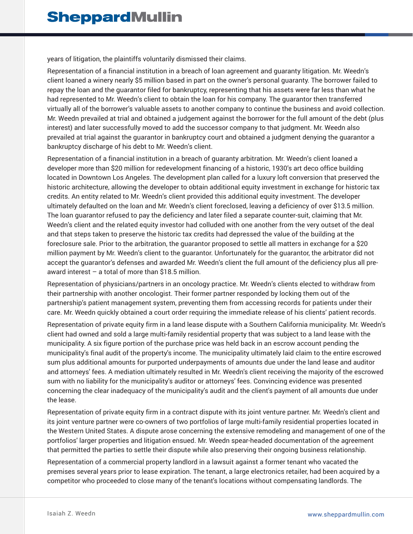years of litigation, the plaintiffs voluntarily dismissed their claims.

Representation of a financial institution in a breach of loan agreement and guaranty litigation. Mr. Weedn's client loaned a winery nearly \$5 million based in part on the owner's personal guaranty. The borrower failed to repay the loan and the guarantor filed for bankruptcy, representing that his assets were far less than what he had represented to Mr. Weedn's client to obtain the loan for his company. The guarantor then transferred virtually all of the borrower's valuable assets to another company to continue the business and avoid collection. Mr. Weedn prevailed at trial and obtained a judgement against the borrower for the full amount of the debt (plus interest) and later successfully moved to add the successor company to that judgment. Mr. Weedn also prevailed at trial against the guarantor in bankruptcy court and obtained a judgment denying the guarantor a bankruptcy discharge of his debt to Mr. Weedn's client.

Representation of a financial institution in a breach of guaranty arbitration. Mr. Weedn's client loaned a developer more than \$20 million for redevelopment financing of a historic, 1930's art deco office building located in Downtown Los Angeles. The development plan called for a luxury loft conversion that preserved the historic architecture, allowing the developer to obtain additional equity investment in exchange for historic tax credits. An entity related to Mr. Weedn's client provided this additional equity investment. The developer ultimately defaulted on the loan and Mr. Weedn's client foreclosed, leaving a deficiency of over \$13.5 million. The loan guarantor refused to pay the deficiency and later filed a separate counter-suit, claiming that Mr. Weedn's client and the related equity investor had colluded with one another from the very outset of the deal and that steps taken to preserve the historic tax credits had depressed the value of the building at the foreclosure sale. Prior to the arbitration, the guarantor proposed to settle all matters in exchange for a \$20 million payment by Mr. Weedn's client to the guarantor. Unfortunately for the guarantor, the arbitrator did not accept the guarantor's defenses and awarded Mr. Weedn's client the full amount of the deficiency plus all preaward interest – a total of more than \$18.5 million.

Representation of physicians/partners in an oncology practice. Mr. Weedn's clients elected to withdraw from their partnership with another oncologist. Their former partner responded by locking them out of the partnership's patient management system, preventing them from accessing records for patients under their care. Mr. Weedn quickly obtained a court order requiring the immediate release of his clients' patient records.

Representation of private equity firm in a land lease dispute with a Southern California municipality. Mr. Weedn's client had owned and sold a large multi-family residential property that was subject to a land lease with the municipality. A six figure portion of the purchase price was held back in an escrow account pending the municipality's final audit of the property's income. The municipality ultimately laid claim to the entire escrowed sum plus additional amounts for purported underpayments of amounts due under the land lease and auditor and attorneys' fees. A mediation ultimately resulted in Mr. Weedn's client receiving the majority of the escrowed sum with no liability for the municipality's auditor or attorneys' fees. Convincing evidence was presented concerning the clear inadequacy of the municipality's audit and the client's payment of all amounts due under the lease.

Representation of private equity firm in a contract dispute with its joint venture partner. Mr. Weedn's client and its joint venture partner were co-owners of two portfolios of large multi-family residential properties located in the Western United States. A dispute arose concerning the extensive remodeling and management of one of the portfolios' larger properties and litigation ensued. Mr. Weedn spear-headed documentation of the agreement that permitted the parties to settle their dispute while also preserving their ongoing business relationship.

Representation of a commercial property landlord in a lawsuit against a former tenant who vacated the premises several years prior to lease expiration. The tenant, a large electronics retailer, had been acquired by a competitor who proceeded to close many of the tenant's locations without compensating landlords. The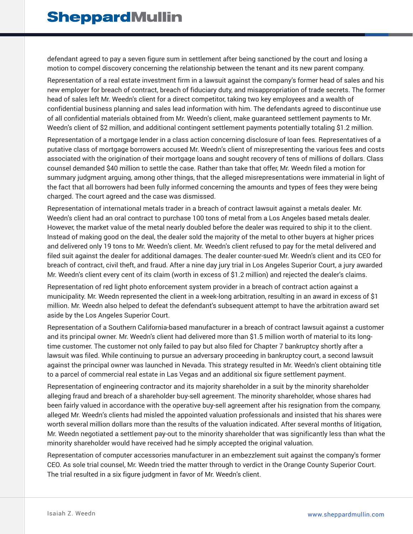defendant agreed to pay a seven figure sum in settlement after being sanctioned by the court and losing a motion to compel discovery concerning the relationship between the tenant and its new parent company.

Representation of a real estate investment firm in a lawsuit against the company's former head of sales and his new employer for breach of contract, breach of fiduciary duty, and misappropriation of trade secrets. The former head of sales left Mr. Weedn's client for a direct competitor, taking two key employees and a wealth of confidential business planning and sales lead information with him. The defendants agreed to discontinue use of all confidential materials obtained from Mr. Weedn's client, make guaranteed settlement payments to Mr. Weedn's client of \$2 million, and additional contingent settlement payments potentially totaling \$1.2 million.

Representation of a mortgage lender in a class action concerning disclosure of loan fees. Representatives of a putative class of mortgage borrowers accused Mr. Weedn's client of misrepresenting the various fees and costs associated with the origination of their mortgage loans and sought recovery of tens of millions of dollars. Class counsel demanded \$40 million to settle the case. Rather than take that offer, Mr. Weedn filed a motion for summary judgment arguing, among other things, that the alleged misrepresentations were immaterial in light of the fact that all borrowers had been fully informed concerning the amounts and types of fees they were being charged. The court agreed and the case was dismissed.

Representation of international metals trader in a breach of contract lawsuit against a metals dealer. Mr. Weedn's client had an oral contract to purchase 100 tons of metal from a Los Angeles based metals dealer. However, the market value of the metal nearly doubled before the dealer was required to ship it to the client. Instead of making good on the deal, the dealer sold the majority of the metal to other buyers at higher prices and delivered only 19 tons to Mr. Weedn's client. Mr. Weedn's client refused to pay for the metal delivered and filed suit against the dealer for additional damages. The dealer counter-sued Mr. Weedn's client and its CEO for breach of contract, civil theft, and fraud. After a nine day jury trial in Los Angeles Superior Court, a jury awarded Mr. Weedn's client every cent of its claim (worth in excess of \$1.2 million) and rejected the dealer's claims.

Representation of red light photo enforcement system provider in a breach of contract action against a municipality. Mr. Weedn represented the client in a week-long arbitration, resulting in an award in excess of \$1 million. Mr. Weedn also helped to defeat the defendant's subsequent attempt to have the arbitration award set aside by the Los Angeles Superior Court.

Representation of a Southern California-based manufacturer in a breach of contract lawsuit against a customer and its principal owner. Mr. Weedn's client had delivered more than \$1.5 million worth of material to its longtime customer. The customer not only failed to pay but also filed for Chapter 7 bankruptcy shortly after a lawsuit was filed. While continuing to pursue an adversary proceeding in bankruptcy court, a second lawsuit against the principal owner was launched in Nevada. This strategy resulted in Mr. Weedn's client obtaining title to a parcel of commercial real estate in Las Vegas and an additional six figure settlement payment.

Representation of engineering contractor and its majority shareholder in a suit by the minority shareholder alleging fraud and breach of a shareholder buy-sell agreement. The minority shareholder, whose shares had been fairly valued in accordance with the operative buy-sell agreement after his resignation from the company, alleged Mr. Weedn's clients had misled the appointed valuation professionals and insisted that his shares were worth several million dollars more than the results of the valuation indicated. After several months of litigation, Mr. Weedn negotiated a settlement pay-out to the minority shareholder that was significantly less than what the minority shareholder would have received had he simply accepted the original valuation.

Representation of computer accessories manufacturer in an embezzlement suit against the company's former CEO. As sole trial counsel, Mr. Weedn tried the matter through to verdict in the Orange County Superior Court. The trial resulted in a six figure judgment in favor of Mr. Weedn's client.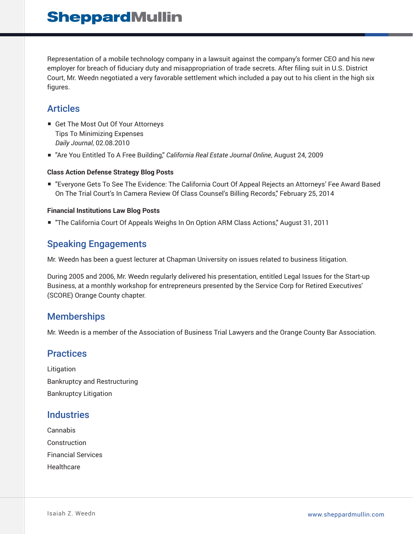Representation of a mobile technology company in a lawsuit against the company's former CEO and his new employer for breach of fiduciary duty and misappropriation of trade secrets. After filing suit in U.S. District Court, Mr. Weedn negotiated a very favorable settlement which included a pay out to his client in the high six figures.

## Articles

- Get The Most Out Of Your Attorneys Tips To Minimizing Expenses *Daily Journal*, 02.08.2010
- "Are You Entitled To A Free Building," *California Real Estate Journal Online*, August 24, 2009

#### **Class Action Defense Strategy Blog Posts**

■ "Everyone Gets To See The Evidence: The California Court Of Appeal Rejects an Attorneys' Fee Award Based On The Trial Court's In Camera Review Of Class Counsel's Billing Records," February 25, 2014

#### **Financial Institutions Law Blog Posts**

■ "The California Court Of Appeals Weighs In On Option ARM Class Actions," August 31, 2011

## Speaking Engagements

Mr. Weedn has been a guest lecturer at Chapman University on issues related to business litigation.

During 2005 and 2006, Mr. Weedn regularly delivered his presentation, entitled Legal Issues for the Start-up Business, at a monthly workshop for entrepreneurs presented by the Service Corp for Retired Executives' (SCORE) Orange County chapter.

### **Memberships**

Mr. Weedn is a member of the Association of Business Trial Lawyers and the Orange County Bar Association.

## **Practices**

Litigation Bankruptcy and Restructuring Bankruptcy Litigation

### **Industries**

Cannabis Construction Financial Services Healthcare